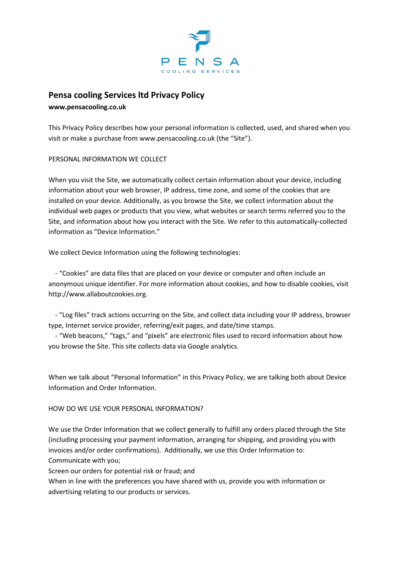

# **Pensa cooling Services ltd Privacy Policy**

**www.pensacooling.co.uk**

This Privacy Policy describes how your personal information is collected, used, and shared when you visit or make a purchase from www.pensacooling.co.uk (the "Site").

## PERSONAL INFORMATION WE COLLECT

When you visit the Site, we automatically collect certain information about your device, including information about your web browser, IP address, time zone, and some of the cookies that are installed on your device. Additionally, as you browse the Site, we collect information about the individual web pages or products that you view, what websites or search terms referred you to the Site, and information about how you interact with the Site. We refer to this automatically-collected information as "Device Information."

We collect Device Information using the following technologies:

 - "Cookies" are data files that are placed on your device or computer and often include an anonymous unique identifier. For more information about cookies, and how to disable cookies, visit http://www.allaboutcookies.org.

 - "Log files" track actions occurring on the Site, and collect data including your IP address, browser type, Internet service provider, referring/exit pages, and date/time stamps.

 - "Web beacons," "tags," and "pixels" are electronic files used to record information about how you browse the Site. This site collects data via Google analytics.

When we talk about "Personal Information" in this Privacy Policy, we are talking both about Device Information and Order Information.

## HOW DO WE USE YOUR PERSONAL INFORMATION?

We use the Order Information that we collect generally to fulfill any orders placed through the Site (including processing your payment information, arranging for shipping, and providing you with invoices and/or order confirmations). Additionally, we use this Order Information to: Communicate with you;

Screen our orders for potential risk or fraud; and

When in line with the preferences you have shared with us, provide you with information or advertising relating to our products or services.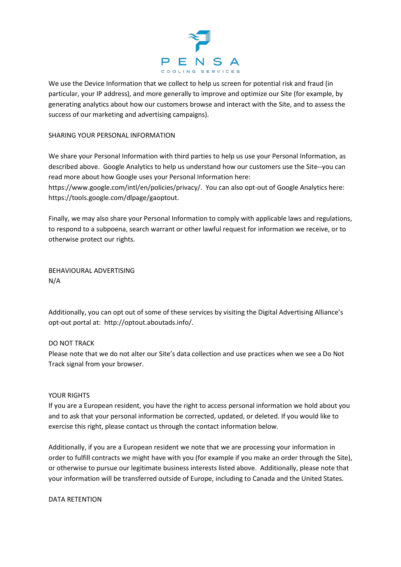

We use the Device Information that we collect to help us screen for potential risk and fraud (in particular, your IP address), and more generally to improve and optimize our Site (for example, by generating analytics about how our customers browse and interact with the Site, and to assess the success of our marketing and advertising campaigns).

#### SHARING YOUR PERSONAL INFORMATION

We share your Personal Information with third parties to help us use your Personal Information, as described above. Google Analytics to help us understand how our customers use the Site--you can read more about how Google uses your Personal Information here:

https://www.google.com/intl/en/policies/privacy/. You can also opt-out of Google Analytics here: https://tools.google.com/dlpage/gaoptout.

Finally, we may also share your Personal Information to comply with applicable laws and regulations, to respond to a subpoena, search warrant or other lawful request for information we receive, or to otherwise protect our rights.

BEHAVIOURAL ADVERTISING N/A

Additionally, you can opt out of some of these services by visiting the Digital Advertising Alliance's opt-out portal at: http://optout.aboutads.info/.

## DO NOT TRACK

Please note that we do not alter our Site's data collection and use practices when we see a Do Not Track signal from your browser.

#### YOUR RIGHTS

If you are a European resident, you have the right to access personal information we hold about you and to ask that your personal information be corrected, updated, or deleted. If you would like to exercise this right, please contact us through the contact information below.

Additionally, if you are a European resident we note that we are processing your information in order to fulfill contracts we might have with you (for example if you make an order through the Site), or otherwise to pursue our legitimate business interests listed above. Additionally, please note that your information will be transferred outside of Europe, including to Canada and the United States.

#### DATA RETENTION